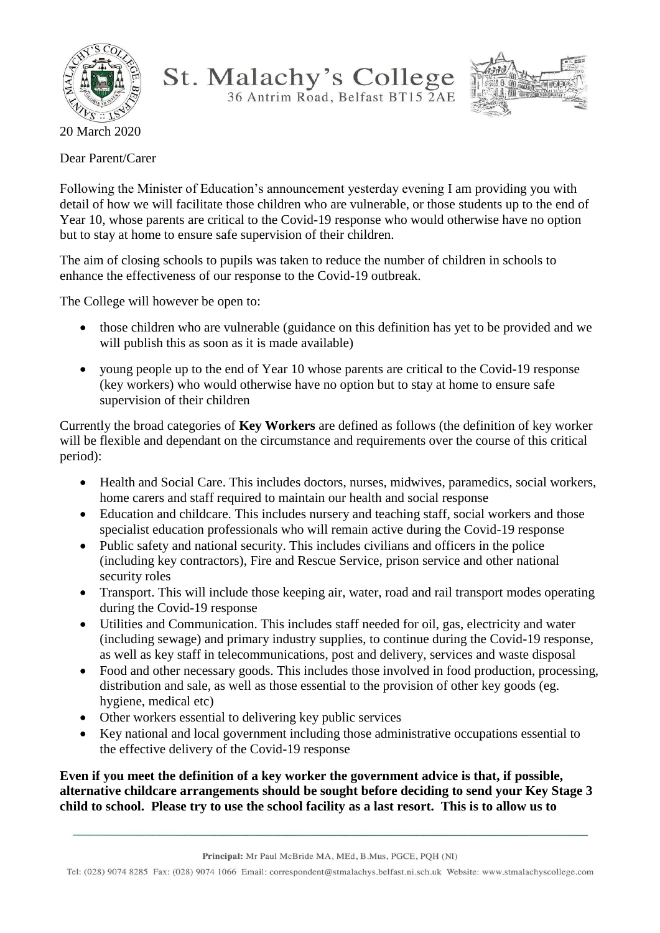

St. Malachy's College 36 Antrim Road, Belfast BT15 2AE



20 March 2020

Dear Parent/Carer

Following the Minister of Education's announcement yesterday evening I am providing you with detail of how we will facilitate those children who are vulnerable, or those students up to the end of Year 10, whose parents are critical to the Covid-19 response who would otherwise have no option but to stay at home to ensure safe supervision of their children.

The aim of closing schools to pupils was taken to reduce the number of children in schools to enhance the effectiveness of our response to the Covid-19 outbreak.

The College will however be open to:

- those children who are vulnerable (guidance on this definition has yet to be provided and we will publish this as soon as it is made available)
- young people up to the end of Year 10 whose parents are critical to the Covid-19 response (key workers) who would otherwise have no option but to stay at home to ensure safe supervision of their children

Currently the broad categories of **Key Workers** are defined as follows (the definition of key worker will be flexible and dependant on the circumstance and requirements over the course of this critical period):

- Health and Social Care. This includes doctors, nurses, midwives, paramedics, social workers, home carers and staff required to maintain our health and social response
- Education and childcare. This includes nursery and teaching staff, social workers and those specialist education professionals who will remain active during the Covid-19 response
- Public safety and national security. This includes civilians and officers in the police (including key contractors), Fire and Rescue Service, prison service and other national security roles
- Transport. This will include those keeping air, water, road and rail transport modes operating during the Covid-19 response
- Utilities and Communication. This includes staff needed for oil, gas, electricity and water (including sewage) and primary industry supplies, to continue during the Covid-19 response, as well as key staff in telecommunications, post and delivery, services and waste disposal
- Food and other necessary goods. This includes those involved in food production, processing, distribution and sale, as well as those essential to the provision of other key goods (eg. hygiene, medical etc)
- Other workers essential to delivering key public services
- Key national and local government including those administrative occupations essential to the effective delivery of the Covid-19 response

**Even if you meet the definition of a key worker the government advice is that, if possible, alternative childcare arrangements should be sought before deciding to send your Key Stage 3 child to school. Please try to use the school facility as a last resort. This is to allow us to** 

Tel: (028) 9074 8285 Fax: (028) 9074 1066 Email: correspondent@stmalachys.belfast.ni.sch.uk Website: www.stmalachyscollege.com